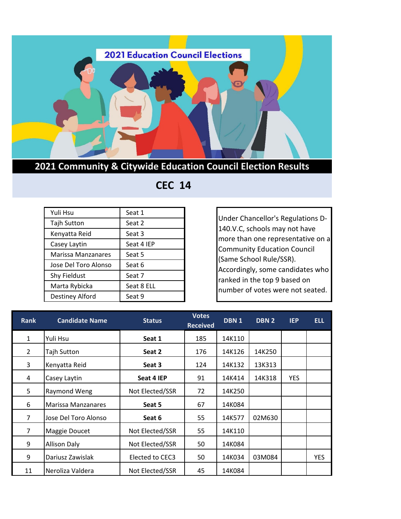

**2021 Community & Citywide Education Council Election Results**

## **CEC 14**

| Yuli Hsu             | Seat 1     |
|----------------------|------------|
| <b>Tajh Sutton</b>   | Seat 2     |
| Kenyatta Reid        | Seat 3     |
| Casey Laytin         | Seat 4 IEP |
| Marissa Manzanares   | Seat 5     |
| Jose Del Toro Alonso | Seat 6     |
| <b>Shy Fieldust</b>  | Seat 7     |
| Marta Rybicka        | Seat 8 ELL |
| Destiney Alford      | Seat 9     |

Under Chancellor's Regulations D-140.V.C, schools may not have more than one representative on a Community Education Council (Same School Rule/SSR). Accordingly, some candidates who ranked in the top 9 based on number of votes were not seated.

| <b>Rank</b>    | <b>Candidate Name</b> | <b>Status</b>   | <b>Votes</b><br><b>Received</b> | DBN <sub>1</sub> | DBN <sub>2</sub> | <b>IEP</b> | <b>ELL</b> |
|----------------|-----------------------|-----------------|---------------------------------|------------------|------------------|------------|------------|
| $\mathbf{1}$   | Yuli Hsu              | Seat 1          | 185                             | 14K110           |                  |            |            |
| $\overline{2}$ | <b>Tajh Sutton</b>    | Seat 2          | 176                             | 14K126           | 14K250           |            |            |
| 3              | Kenyatta Reid         | Seat 3          | 124                             | 14K132           | 13K313           |            |            |
| 4              | Casey Laytin          | Seat 4 IEP      | 91                              | 14K414           | 14K318           | <b>YES</b> |            |
| 5              | Raymond Weng          | Not Elected/SSR | 72                              | 14K250           |                  |            |            |
| 6              | Marissa Manzanares    | Seat 5          | 67                              | 14K084           |                  |            |            |
| $\overline{7}$ | Jose Del Toro Alonso  | Seat 6          | 55                              | 14K577           | 02M630           |            |            |
| $\overline{7}$ | Maggie Doucet         | Not Elected/SSR | 55                              | 14K110           |                  |            |            |
| 9              | <b>Allison Daly</b>   | Not Elected/SSR | 50                              | 14K084           |                  |            |            |
| 9              | Dariusz Zawislak      | Elected to CEC3 | 50                              | 14K034           | 03M084           |            | <b>YES</b> |
| 11             | Neroliza Valdera      | Not Elected/SSR | 45                              | 14K084           |                  |            |            |